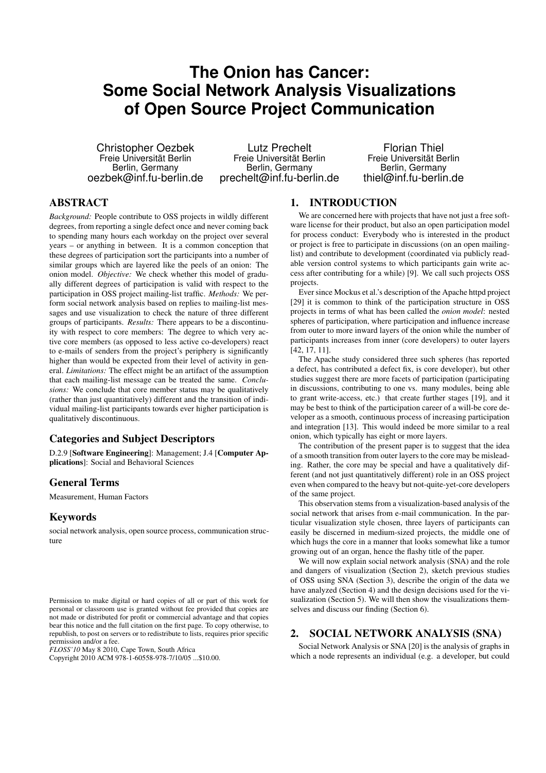# **The Onion has Cancer: Some Social Network Analysis Visualizations of Open Source Project Communication**

Christopher Oezbek Freie Universität Berlin Berlin, Germany oezbek@inf.fu-berlin.de

Lutz Prechelt Freie Universität Berlin Berlin, Germany prechelt@inf.fu-berlin.de

Florian Thiel Freie Universität Berlin Berlin, Germany thiel@inf.fu-berlin.de

#### ABSTRACT

*Background:* People contribute to OSS projects in wildly different degrees, from reporting a single defect once and never coming back to spending many hours each workday on the project over several years – or anything in between. It is a common conception that these degrees of participation sort the participants into a number of similar groups which are layered like the peels of an onion: The onion model. *Objective:* We check whether this model of gradually different degrees of participation is valid with respect to the participation in OSS project mailing-list traffic. *Methods:* We perform social network analysis based on replies to mailing-list messages and use visualization to check the nature of three different groups of participants. *Results:* There appears to be a discontinuity with respect to core members: The degree to which very active core members (as opposed to less active co-developers) react to e-mails of senders from the project's periphery is significantly higher than would be expected from their level of activity in general. *Limitations:* The effect might be an artifact of the assumption that each mailing-list message can be treated the same. *Conclusions:* We conclude that core member status may be qualitatively (rather than just quantitatively) different and the transition of individual mailing-list participants towards ever higher participation is qualitatively discontinuous.

# Categories and Subject Descriptors

D.2.9 [Software Engineering]: Management; J.4 [Computer Applications]: Social and Behavioral Sciences

#### General Terms

Measurement, Human Factors

#### Keywords

social network analysis, open source process, communication structure

*FLOSS'10* May 8 2010, Cape Town, South Africa

Copyright 2010 ACM 978-1-60558-978-7/10/05 ...\$10.00.

#### 1. INTRODUCTION

We are concerned here with projects that have not just a free software license for their product, but also an open participation model for process conduct: Everybody who is interested in the product or project is free to participate in discussions (on an open mailinglist) and contribute to development (coordinated via publicly readable version control systems to which participants gain write access after contributing for a while) [\[9\]](#page-4-0). We call such projects OSS projects.

Ever since Mockus et al.'s description of the Apache httpd project [\[29\]](#page-5-0) it is common to think of the participation structure in OSS projects in terms of what has been called the *onion model*: nested spheres of participation, where participation and influence increase from outer to more inward layers of the onion while the number of participants increases from inner (core developers) to outer layers [\[42,](#page-5-1) [17,](#page-4-1) [11\]](#page-4-2).

The Apache study considered three such spheres (has reported a defect, has contributed a defect fix, is core developer), but other studies suggest there are more facets of participation (participating in discussions, contributing to one vs. many modules, being able to grant write-access, etc.) that create further stages [\[19\]](#page-4-3), and it may be best to think of the participation career of a will-be core developer as a smooth, continuous process of increasing participation and integration [\[13\]](#page-4-4). This would indeed be more similar to a real onion, which typically has eight or more layers.

The contribution of the present paper is to suggest that the idea of a smooth transition from outer layers to the core may be misleading. Rather, the core may be special and have a qualitatively different (and not just quantitatively different) role in an OSS project even when compared to the heavy but not-quite-yet-core developers of the same project.

This observation stems from a visualization-based analysis of the social network that arises from e-mail communication. In the particular visualization style chosen, three layers of participants can easily be discerned in medium-sized projects, the middle one of which hugs the core in a manner that looks somewhat like a tumor growing out of an organ, hence the flashy title of the paper.

We will now explain social network analysis (SNA) and the role and dangers of visualization (Section [2\)](#page-0-0), sketch previous studies of OSS using SNA (Section [3\)](#page-1-0), describe the origin of the data we have analyzed (Section [4\)](#page-1-1) and the design decisions used for the visualization (Section [5\)](#page-2-0). We will then show the visualizations themselves and discuss our finding (Section [6\)](#page-2-1).

#### <span id="page-0-0"></span>2. SOCIAL NETWORK ANALYSIS (SNA)

Social Network Analysis or SNA [\[20\]](#page-4-5) is the analysis of graphs in which a node represents an individual (e.g. a developer, but could

Permission to make digital or hard copies of all or part of this work for personal or classroom use is granted without fee provided that copies are not made or distributed for profit or commercial advantage and that copies bear this notice and the full citation on the first page. To copy otherwise, to republish, to post on servers or to redistribute to lists, requires prior specific permission and/or a fee.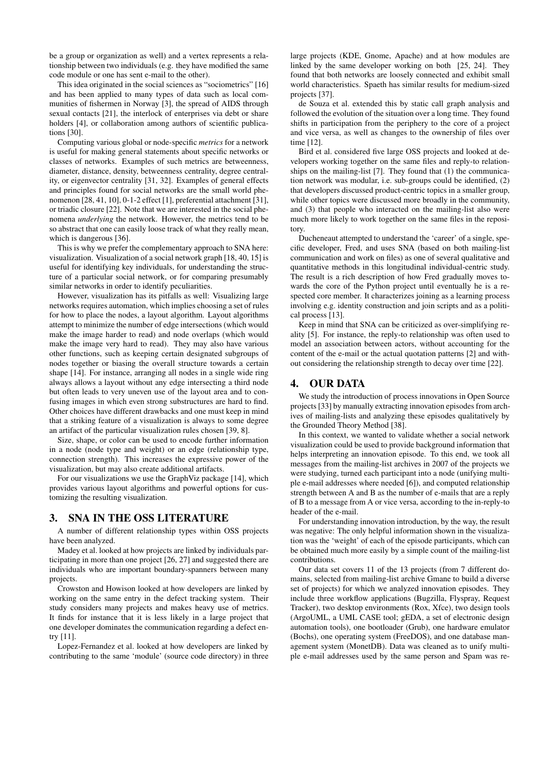be a group or organization as well) and a vertex represents a relationship between two individuals (e.g. they have modified the same code module or one has sent e-mail to the other).

This idea originated in the social sciences as "sociometrics" [\[16\]](#page-4-6) and has been applied to many types of data such as local communities of fishermen in Norway [\[3\]](#page-4-7), the spread of AIDS through sexual contacts [\[21\]](#page-4-8), the interlock of enterprises via debt or share holders [\[4\]](#page-4-9), or collaboration among authors of scientific publications [\[30\]](#page-5-2).

Computing various global or node-specific *metrics* for a network is useful for making general statements about specific networks or classes of networks. Examples of such metrics are betweenness, diameter, distance, density, betweenness centrality, degree centrality, or eigenvector centrality [\[31,](#page-5-3) [32\]](#page-5-4). Examples of general effects and principles found for social networks are the small world phenomenon [\[28,](#page-4-10) [41,](#page-5-5) [10\]](#page-4-11), 0-1-2 effect [\[1\]](#page-4-12), preferential attachment [\[31\]](#page-5-3), or triadic closure [\[22\]](#page-4-13). Note that we are interested in the social phenomena *underlying* the network. However, the metrics tend to be so abstract that one can easily loose track of what they really mean, which is dangerous [\[36\]](#page-5-6).

This is why we prefer the complementary approach to SNA here: visualization. Visualization of a social network graph [\[18,](#page-4-14) [40,](#page-5-7) [15\]](#page-4-15) is useful for identifying key individuals, for understanding the structure of a particular social network, or for comparing presumably similar networks in order to identify peculiarities.

However, visualization has its pitfalls as well: Visualizing large networks requires automation, which implies choosing a set of rules for how to place the nodes, a layout algorithm. Layout algorithms attempt to minimize the number of edge intersections (which would make the image harder to read) and node overlaps (which would make the image very hard to read). They may also have various other functions, such as keeping certain designated subgroups of nodes together or biasing the overall structure towards a certain shape [\[14\]](#page-4-16). For instance, arranging all nodes in a single wide ring always allows a layout without any edge intersecting a third node but often leads to very uneven use of the layout area and to confusing images in which even strong substructures are hard to find. Other choices have different drawbacks and one must keep in mind that a striking feature of a visualization is always to some degree an artifact of the particular visualization rules chosen [\[39,](#page-5-8) [8\]](#page-4-17).

Size, shape, or color can be used to encode further information in a node (node type and weight) or an edge (relationship type, connection strength). This increases the expressive power of the visualization, but may also create additional artifacts.

For our visualizations we use the GraphViz package [\[14\]](#page-4-16), which provides various layout algorithms and powerful options for customizing the resulting visualization.

#### <span id="page-1-0"></span>3. SNA IN THE OSS LITERATURE

A number of different relationship types within OSS projects have been analyzed.

Madey et al. looked at how projects are linked by individuals participating in more than one project [\[26,](#page-4-18) [27\]](#page-4-19) and suggested there are individuals who are important boundary-spanners between many projects.

Crowston and Howison looked at how developers are linked by working on the same entry in the defect tracking system. Their study considers many projects and makes heavy use of metrics. It finds for instance that it is less likely in a large project that one developer dominates the communication regarding a defect entry [\[11\]](#page-4-2).

Lopez-Fernandez et al. looked at how developers are linked by contributing to the same 'module' (source code directory) in three large projects (KDE, Gnome, Apache) and at how modules are linked by the same developer working on both [\[25,](#page-4-20) [24\]](#page-4-21). They found that both networks are loosely connected and exhibit small world characteristics. Spaeth has similar results for medium-sized projects [\[37\]](#page-5-9).

de Souza et al. extended this by static call graph analysis and followed the evolution of the situation over a long time. They found shifts in participation from the periphery to the core of a project and vice versa, as well as changes to the ownership of files over time [\[12\]](#page-4-22).

Bird et al. considered five large OSS projects and looked at developers working together on the same files and reply-to relationships on the mailing-list [\[7\]](#page-4-23). They found that (1) the communication network was modular, i.e. sub-groups could be identified, (2) that developers discussed product-centric topics in a smaller group, while other topics were discussed more broadly in the community, and (3) that people who interacted on the mailing-list also were much more likely to work together on the same files in the repository.

Ducheneaut attempted to understand the 'career' of a single, specific developer, Fred, and uses SNA (based on both mailing-list communication and work on files) as one of several qualitative and quantitative methods in this longitudinal individual-centric study. The result is a rich description of how Fred gradually moves towards the core of the Python project until eventually he is a respected core member. It characterizes joining as a learning process involving e.g. identity construction and join scripts and as a political process [\[13\]](#page-4-4).

Keep in mind that SNA can be criticized as over-simplifying reality [\[5\]](#page-4-24). For instance, the reply-to relationship was often used to model an association between actors, without accounting for the content of the e-mail or the actual quotation patterns [\[2\]](#page-4-25) and without considering the relationship strength to decay over time [\[22\]](#page-4-13).

#### <span id="page-1-1"></span>4. OUR DATA

We study the introduction of process innovations in Open Source projects [\[33\]](#page-5-10) by manually extracting innovation episodes from archives of mailing-lists and analyzing these episodes qualitatively by the Grounded Theory Method [\[38\]](#page-5-11).

In this context, we wanted to validate whether a social network visualization could be used to provide background information that helps interpreting an innovation episode. To this end, we took all messages from the mailing-list archives in 2007 of the projects we were studying, turned each participant into a node (unifying multiple e-mail addresses where needed [\[6\]](#page-4-26)), and computed relationship strength between A and B as the number of e-mails that are a reply of B to a message from A or vice versa, according to the in-reply-to header of the e-mail.

For understanding innovation introduction, by the way, the result was negative: The only helpful information shown in the visualization was the 'weight' of each of the episode participants, which can be obtained much more easily by a simple count of the mailing-list contributions.

Our data set covers 11 of the 13 projects (from 7 different domains, selected from mailing-list archive Gmane to build a diverse set of projects) for which we analyzed innovation episodes. They include three workflow applications (Bugzilla, Flyspray, Request Tracker), two desktop environments (Rox, Xfce), two design tools (ArgoUML, a UML CASE tool; gEDA, a set of electronic design automation tools), one bootloader (Grub), one hardware emulator (Bochs), one operating system (FreeDOS), and one database management system (MonetDB). Data was cleaned as to unify multiple e-mail addresses used by the same person and Spam was re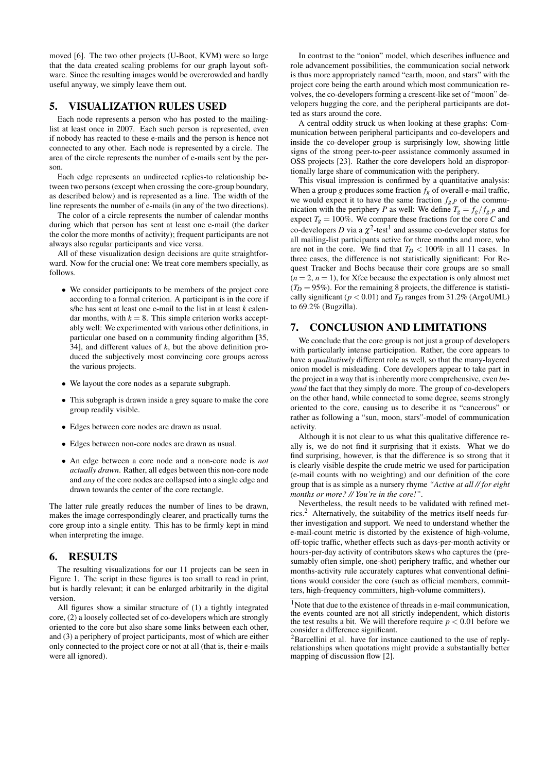moved [\[6\]](#page-4-26). The two other projects (U-Boot, KVM) were so large that the data created scaling problems for our graph layout software. Since the resulting images would be overcrowded and hardly useful anyway, we simply leave them out.

## <span id="page-2-0"></span>5. VISUALIZATION RULES USED

Each node represents a person who has posted to the mailinglist at least once in 2007. Each such person is represented, even if nobody has reacted to these e-mails and the person is hence not connected to any other. Each node is represented by a circle. The area of the circle represents the number of e-mails sent by the person.

Each edge represents an undirected replies-to relationship between two persons (except when crossing the core-group boundary, as described below) and is represented as a line. The width of the line represents the number of e-mails (in any of the two directions).

The color of a circle represents the number of calendar months during which that person has sent at least one e-mail (the darker the color the more months of activity); frequent participants are not always also regular participants and vice versa.

All of these visualization design decisions are quite straightforward. Now for the crucial one: We treat core members specially, as follows.

- We consider participants to be members of the project core according to a formal criterion. A participant is in the core if s/he has sent at least one e-mail to the list in at least *k* calendar months, with  $k = 8$ . This simple criterion works acceptably well: We experimented with various other definitions, in particular one based on a community finding algorithm [\[35,](#page-5-12) [34\]](#page-5-13), and different values of *k*, but the above definition produced the subjectively most convincing core groups across the various projects.
- We layout the core nodes as a separate subgraph.
- This subgraph is drawn inside a grey square to make the core group readily visible.
- Edges between core nodes are drawn as usual.
- Edges between non-core nodes are drawn as usual.
- An edge between a core node and a non-core node is *not actually drawn*. Rather, all edges between this non-core node and *any* of the core nodes are collapsed into a single edge and drawn towards the center of the core rectangle.

The latter rule greatly reduces the number of lines to be drawn, makes the image correspondingly clearer, and practically turns the core group into a single entity. This has to be firmly kept in mind when interpreting the image.

#### <span id="page-2-1"></span>6. RESULTS

The resulting visualizations for our 11 projects can be seen in Figure [1.](#page-3-0) The script in these figures is too small to read in print, but is hardly relevant; it can be enlarged arbitrarily in the digital version.

All figures show a similar structure of (1) a tightly integrated core, (2) a loosely collected set of co-developers which are strongly oriented to the core but also share some links between each other, and (3) a periphery of project participants, most of which are either only connected to the project core or not at all (that is, their e-mails were all ignored).

In contrast to the "onion" model, which describes influence and role advancement possibilities, the communication social network is thus more appropriately named "earth, moon, and stars" with the project core being the earth around which most communication revolves, the co-developers forming a crescent-like set of "moon" developers hugging the core, and the peripheral participants are dotted as stars around the core.

A central oddity struck us when looking at these graphs: Communication between peripheral participants and co-developers and inside the co-developer group is surprisingly low, showing little signs of the strong peer-to-peer assistance commonly assumed in OSS projects [\[23\]](#page-4-27). Rather the core developers hold an disproportionally large share of communication with the periphery.

This visual impression is confirmed by a quantitative analysis: When a group *g* produces some fraction  $f_g$  of overall e-mail traffic, we would expect it to have the same fraction  $f_{g,P}$  of the communication with the periphery *P* as well: We define  $T_g = f_g/f_{g,P}$  and expect  $T_g = 100\%$ . We compare these fractions for the core *C* and co-developers *D* via a  $\chi^2$ -test<sup>[1](#page-2-2)</sup> and assume co-developer status for all mailing-list participants active for three months and more, who are not in the core. We find that  $T_D < 100\%$  in all 11 cases. In three cases, the difference is not statistically significant: For Request Tracker and Bochs because their core groups are so small  $(n = 2, n = 1)$ , for Xfce because the expectation is only almost met  $(T_D = 95\%)$ . For the remaining 8 projects, the difference is statistically significant ( $p < 0.01$ ) and  $T_D$  ranges from 31.2% [\(ArgoUML\)](fig:sna:argouml) to 69.2% [\(Bugzilla\)](fig:sna:bugzilla).

### 7. CONCLUSION AND LIMITATIONS

We conclude that the core group is not just a group of developers with particularly intense participation. Rather, the core appears to have a *qualitatively* different role as well, so that the many-layered onion model is misleading. Core developers appear to take part in the project in a way that is inherently more comprehensive, even *beyond* the fact that they simply do more. The group of co-developers on the other hand, while connected to some degree, seems strongly oriented to the core, causing us to describe it as "cancerous" or rather as following a "sun, moon, stars"-model of communication activity.

Although it is not clear to us what this qualitative difference really is, we do not find it surprising that it exists. What we do find surprising, however, is that the difference is so strong that it is clearly visible despite the crude metric we used for participation (e-mail counts with no weighting) and our definition of the core group that is as simple as a nursery rhyme *"Active at all // for eight months or more? // You're in the core!"*.

Nevertheless, the result needs to be validated with refined metrics.[2](#page-2-3) Alternatively, the suitability of the metrics itself needs further investigation and support. We need to understand whether the e-mail-count metric is distorted by the existence of high-volume, off-topic traffic, whether effects such as days-per-month activity or hours-per-day activity of contributors skews who captures the (presumably often simple, one-shot) periphery traffic, and whether our months-activity rule accurately captures what conventional definitions would consider the core (such as official members, committers, high-frequency committers, high-volume committers).

<span id="page-2-2"></span><sup>&</sup>lt;sup>1</sup>Note that due to the existence of threads in e-mail communication, the events counted are not all strictly independent, which distorts the test results a bit. We will therefore require  $p < 0.01$  before we consider a difference significant.

<span id="page-2-3"></span><sup>&</sup>lt;sup>2</sup>Barcellini et al. have for instance cautioned to the use of replyrelationships when quotations might provide a substantially better mapping of discussion flow [\[2\]](#page-4-25).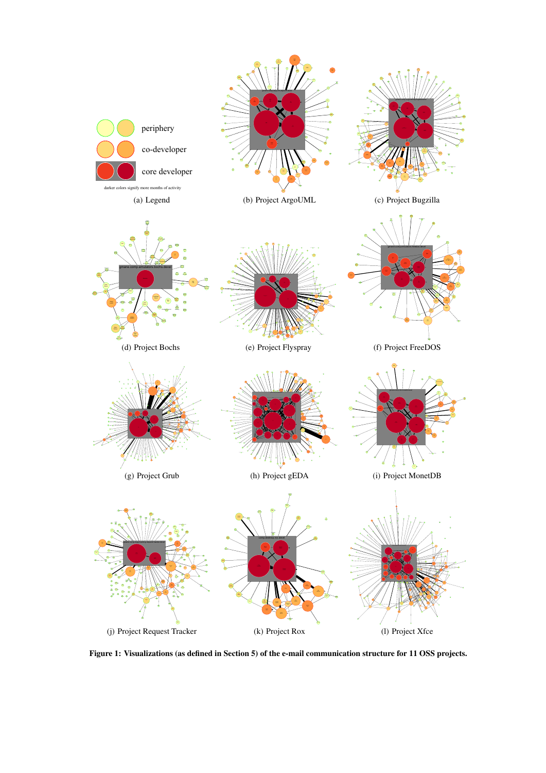<span id="page-3-0"></span>

Figure 1: Visualizations (as defined in Section [5\)](#page-2-0) of the e-mail communication structure for 11 OSS projects.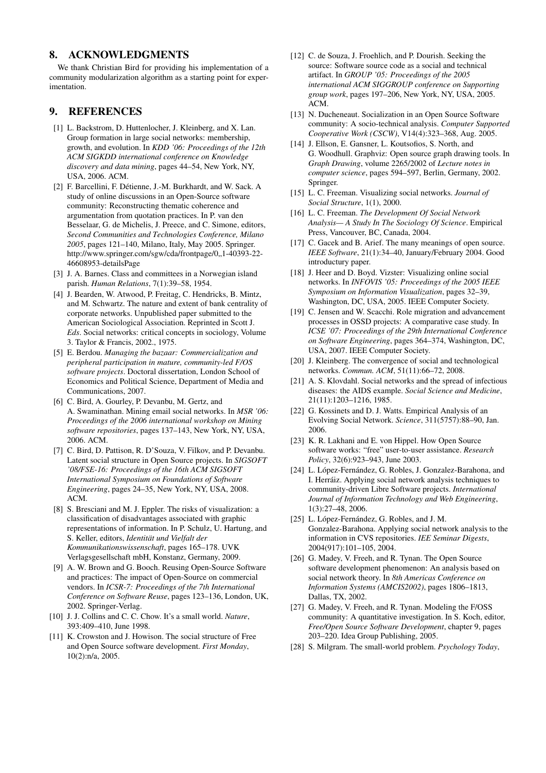# 8. ACKNOWLEDGMENTS

We thank Christian Bird for providing his implementation of a community modularization algorithm as a starting point for experimentation.

## 9. REFERENCES

- <span id="page-4-12"></span>[1] L. Backstrom, D. Huttenlocher, J. Kleinberg, and X. Lan. Group formation in large social networks: membership, growth, and evolution. In *KDD '06: Proceedings of the 12th ACM SIGKDD international conference on Knowledge discovery and data mining*, pages 44–54, New York, NY, USA, 2006. ACM.
- <span id="page-4-25"></span>[2] F. Barcellini, F. Détienne, J.-M. Burkhardt, and W. Sack. A study of online discussions in an Open-Source software community: Reconstructing thematic coherence and argumentation from quotation practices. In P. van den Besselaar, G. de Michelis, J. Preece, and C. Simone, editors, *Second Communities and Technologies Conference, Milano 2005*, pages 121–140, Milano, Italy, May 2005. Springer. http://www.springer.com/sgw/cda/frontpage/0,,1-40393-22-46608953-detailsPage
- <span id="page-4-7"></span>[3] J. A. Barnes. Class and committees in a Norwegian island parish. *Human Relations*, 7(1):39–58, 1954.
- <span id="page-4-9"></span>[4] J. Bearden, W. Atwood, P. Freitag, C. Hendricks, B. Mintz, and M. Schwartz. The nature and extent of bank centrality of corporate networks. Unpublished paper submitted to the American Sociological Association. Reprinted in Scott J. *Eds*. Social networks: critical concepts in sociology, Volume 3. Taylor & Francis, 2002., 1975.
- <span id="page-4-24"></span>[5] E. Berdou. *Managing the bazaar: Commercialization and peripheral participation in mature, community-led F/OS software projects*. Doctoral dissertation, London School of Economics and Political Science, Department of Media and Communications, 2007.
- <span id="page-4-26"></span>[6] C. Bird, A. Gourley, P. Devanbu, M. Gertz, and A. Swaminathan. Mining email social networks. In *MSR '06: Proceedings of the 2006 international workshop on Mining software repositories*, pages 137–143, New York, NY, USA, 2006. ACM.
- <span id="page-4-23"></span>[7] C. Bird, D. Pattison, R. D'Souza, V. Filkov, and P. Devanbu. Latent social structure in Open Source projects. In *SIGSOFT '08/FSE-16: Proceedings of the 16th ACM SIGSOFT International Symposium on Foundations of Software Engineering*, pages 24–35, New York, NY, USA, 2008. ACM.
- <span id="page-4-17"></span>[8] S. Bresciani and M. J. Eppler. The risks of visualization: a classification of disadvantages associated with graphic representations of information. In P. Schulz, U. Hartung, and S. Keller, editors, *Identität und Vielfalt der Kommunikationswissenschaft*, pages 165–178. UVK Verlagsgesellschaft mbH, Konstanz, Germany, 2009.
- <span id="page-4-0"></span>[9] A. W. Brown and G. Booch. Reusing Open-Source Software and practices: The impact of Open-Source on commercial vendors. In *ICSR-7: Proceedings of the 7th International Conference on Software Reuse*, pages 123–136, London, UK, 2002. Springer-Verlag.
- <span id="page-4-11"></span>[10] J. J. Collins and C. C. Chow. It's a small world. *Nature*, 393:409–410, June 1998.
- <span id="page-4-2"></span>[11] K. Crowston and J. Howison. The social structure of Free and Open Source software development. *First Monday*, 10(2):n/a, 2005.
- <span id="page-4-22"></span>[12] C. de Souza, J. Froehlich, and P. Dourish. Seeking the source: Software source code as a social and technical artifact. In *GROUP '05: Proceedings of the 2005 international ACM SIGGROUP conference on Supporting group work*, pages 197–206, New York, NY, USA, 2005. ACM.
- <span id="page-4-4"></span>[13] N. Ducheneaut. Socialization in an Open Source Software community: A socio-technical analysis. *Computer Supported Cooperative Work (CSCW)*, V14(4):323–368, Aug. 2005.
- <span id="page-4-16"></span>[14] J. Ellson, E. Gansner, L. Koutsofios, S. North, and G. Woodhull. Graphviz: Open source graph drawing tools. In *Graph Drawing*, volume 2265/2002 of *Lecture notes in computer science*, pages 594–597, Berlin, Germany, 2002. Springer.
- <span id="page-4-15"></span>[15] L. C. Freeman. Visualizing social networks. *Journal of Social Structure*, 1(1), 2000.
- <span id="page-4-6"></span>[16] L. C. Freeman. *The Development Of Social Network Analysis— A Study In The Sociology Of Science*. Empirical Press, Vancouver, BC, Canada, 2004.
- <span id="page-4-1"></span>[17] C. Gacek and B. Arief. The many meanings of open source. *IEEE Software*, 21(1):34–40, January/February 2004. Good introductury paper.
- <span id="page-4-14"></span>[18] J. Heer and D. Boyd. Vizster: Visualizing online social networks. In *INFOVIS '05: Proceedings of the 2005 IEEE Symposium on Information Visualization*, pages 32–39, Washington, DC, USA, 2005. IEEE Computer Society.
- <span id="page-4-3"></span>[19] C. Jensen and W. Scacchi. Role migration and advancement processes in OSSD projects: A comparative case study. In *ICSE '07: Proceedings of the 29th International Conference on Software Engineering*, pages 364–374, Washington, DC, USA, 2007. IEEE Computer Society.
- <span id="page-4-5"></span>[20] J. Kleinberg. The convergence of social and technological networks. *Commun. ACM*, 51(11):66–72, 2008.
- <span id="page-4-8"></span>[21] A. S. Klovdahl. Social networks and the spread of infectious diseases: the AIDS example. *Social Science and Medicine*, 21(11):1203–1216, 1985.
- <span id="page-4-13"></span>[22] G. Kossinets and D. J. Watts. Empirical Analysis of an Evolving Social Network. *Science*, 311(5757):88–90, Jan. 2006.
- <span id="page-4-27"></span>[23] K. R. Lakhani and E. von Hippel. How Open Source software works: "free" user-to-user assistance. *Research Policy*, 32(6):923–943, June 2003.
- <span id="page-4-21"></span>[24] L. López-Fernández, G. Robles, J. Gonzalez-Barahona, and I. Herráiz. Applying social network analysis techniques to community-driven Libre Software projects. *International Journal of Information Technology and Web Engineering*, 1(3):27–48, 2006.
- <span id="page-4-20"></span>[25] L. López-Fernández, G. Robles, and J. M. Gonzalez-Barahona. Applying social network analysis to the information in CVS repositories. *IEE Seminar Digests*, 2004(917):101–105, 2004.
- <span id="page-4-18"></span>[26] G. Madey, V. Freeh, and R. Tynan. The Open Source software development phenomenon: An analysis based on social network theory. In *8th Americas Conference on Information Systems (AMCIS2002)*, pages 1806–1813, Dallas, TX, 2002.
- <span id="page-4-19"></span>[27] G. Madey, V. Freeh, and R. Tynan. Modeling the F/OSS community: A quantitative investigation. In S. Koch, editor, *Free/Open Source Software Development*, chapter 9, pages 203–220. Idea Group Publishing, 2005.
- <span id="page-4-10"></span>[28] S. Milgram. The small-world problem. *Psychology Today*,